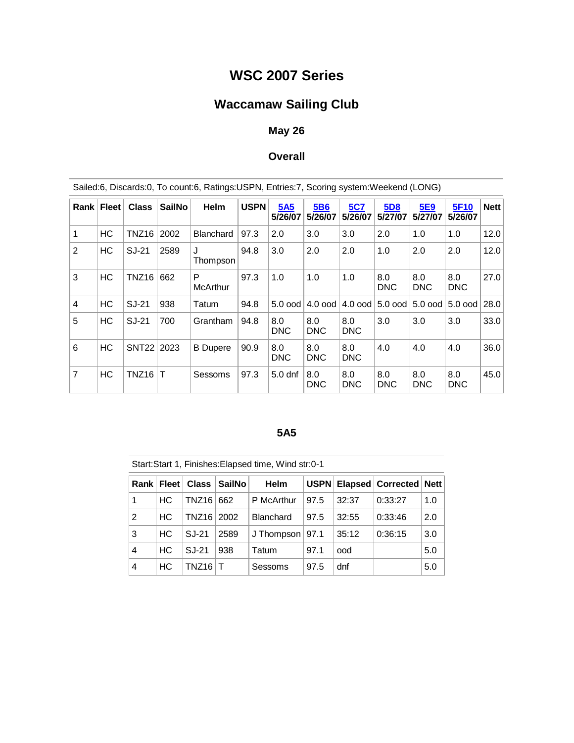# **WSC 2007 Series**

# **Waccamaw Sailing Club**

### **May 26**

### **Overall**

|                | Sailed:6, Discards:0, To count:6, Ratings:USPN, Entries:7, Scoring system:Weekend (LONG) |                   |               |                      |             |                    |                       |                       |                       |                   |                   |             |
|----------------|------------------------------------------------------------------------------------------|-------------------|---------------|----------------------|-------------|--------------------|-----------------------|-----------------------|-----------------------|-------------------|-------------------|-------------|
| Rank           | <b>Fleet</b>                                                                             | <b>Class</b>      | <b>SailNo</b> | <b>Helm</b>          | <b>USPN</b> | 5A5<br>5/26/07     | <b>5B6</b><br>5/26/07 | <b>5C7</b><br>5/26/07 | <b>5D8</b><br>5/27/07 | 5E9<br>5/27/07    | 5F10<br>5/26/07   | <b>Nett</b> |
| $\mathbf{1}$   | HC                                                                                       | TNZ <sub>16</sub> | 2002          | <b>Blanchard</b>     | 97.3        | 2.0                | 3.0                   | 3.0                   | 2.0                   | 1.0               | 1.0               | 12.0        |
| $\overline{2}$ | HC                                                                                       | SJ-21             | 2589          | Thompson             | 94.8        | 3.0                | 2.0                   | 2.0                   | 1.0                   | 2.0               | 2.0               | 12.0        |
| 3              | HC                                                                                       | TNZ <sub>16</sub> | 662           | P<br><b>McArthur</b> | 97.3        | 1.0                | 1.0                   | 1.0                   | 8.0<br><b>DNC</b>     | 8.0<br><b>DNC</b> | 8.0<br><b>DNC</b> | 27.0        |
| $\overline{4}$ | HC                                                                                       | SJ-21             | 938           | Tatum                | 94.8        | $5.0$ ood          | $4.0$ ood             | $4.0$ ood             | 5.0 ood               | 5.0 ood           | $5.0$ ood         | 28.0        |
| 5              | HС                                                                                       | SJ-21             | 700           | Grantham             | 94.8        | 8.0<br><b>DNC</b>  | 8.0<br><b>DNC</b>     | 8.0<br><b>DNC</b>     | 3.0                   | 3.0               | 3.0               | 33.0        |
| 6              | HC                                                                                       | <b>SNT22</b>      | 2023          | <b>B</b> Dupere      | 90.9        | 8.0<br><b>DNC</b>  | 8.0<br><b>DNC</b>     | 8.0<br><b>DNC</b>     | 4.0                   | 4.0               | 4.0               | 36.0        |
| $\overline{7}$ | HC                                                                                       | TNZ <sub>16</sub> | Т             | Sessoms              | 97.3        | 5.0 <sub>dnf</sub> | 8.0<br><b>DNC</b>     | 8.0<br><b>DNC</b>     | 8.0<br><b>DNC</b>     | 8.0<br><b>DNC</b> | 8.0<br><b>DNC</b> | 45.0        |

#### **5A5**

Start:Start 1, Finishes:Elapsed time, Wind str:0-1

|   | Rank Fleet |            | Class   SailNo | <b>Helm</b>       |      |       | USPN   Elapsed   Corrected   Nett |     |
|---|------------|------------|----------------|-------------------|------|-------|-----------------------------------|-----|
| 1 | HС         | TNZ16 662  |                | P McArthur        | 97.5 | 32:37 | 0:33:27                           | 1.0 |
| 2 | HC.        | TNZ16 2002 |                | <b>Blanchard</b>  | 97.5 | 32:55 | 0:33:46                           | 2.0 |
| 3 | HC.        | SJ-21      | 2589           | J Thompson   97.1 |      | 35:12 | 0:36:15                           | 3.0 |
| 4 | <b>HC</b>  | SJ-21      | 938            | Tatum             | 97.1 | ood   |                                   | 5.0 |
| 4 | HС         | TNZ16      |                | Sessoms           | 97.5 | dnf   |                                   | 5.0 |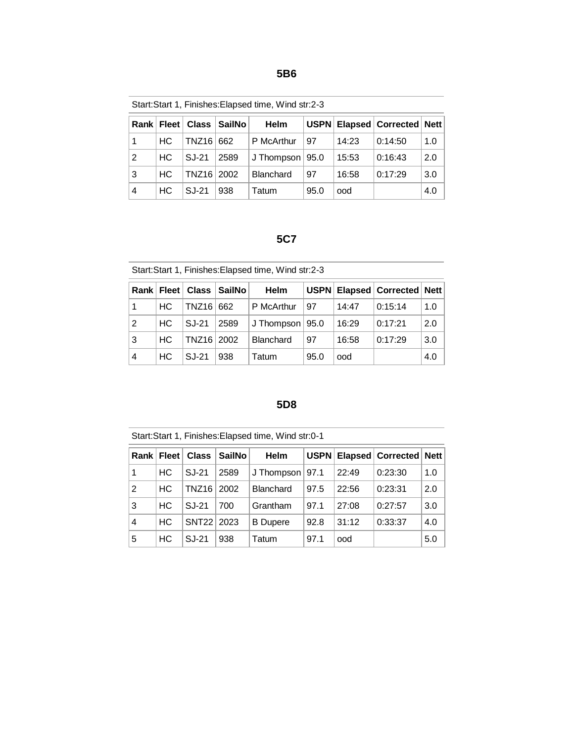Start:Start 1, Finishes:Elapsed time, Wind str:2-3

|   |     | Rank   Fleet   Class   SailNo |      | <b>Helm</b>        |      |       | USPN   Elapsed   Corrected   Nett |     |
|---|-----|-------------------------------|------|--------------------|------|-------|-----------------------------------|-----|
| 1 | HC. | TNZ16 662                     |      | P McArthur         | 97   | 14:23 | 0:14:50                           | 1.0 |
| 2 | HC  | SJ-21                         | 2589 | J Thompson $ 95.0$ |      | 15:53 | 0:16:43                           | 2.0 |
| 3 | HC. | TNZ16 2002                    |      | <b>Blanchard</b>   | 97   | 16:58 | 0:17:29                           | 3.0 |
| 4 | HC. | SJ-21                         | 938  | Tatum              | 95.0 | ood   |                                   | 4.0 |

#### **5C7**

Start:Start 1, Finishes:Elapsed time, Wind str:2-3

|            |     |            | Rank Fleet Class SailNo | Helm               |      |       | USPN   Elapsed   Corrected   Nett |     |
|------------|-----|------------|-------------------------|--------------------|------|-------|-----------------------------------|-----|
|            | HC. | TNZ16 662  |                         | P McArthur         | 97   | 14:47 | 0:15:14                           | 1.0 |
| 2          | HC. | SJ-21      | 2589                    | J Thompson $ 95.0$ |      | 16:29 | 0:17:21                           | 2.0 |
| $\sqrt{3}$ | HC. | TNZ16 2002 |                         | <b>Blanchard</b>   | 97   | 16:58 | 0:17:29                           | 3.0 |
| 4          | HC. | SJ-21      | 938                     | Tatum              | 95.0 | ood   |                                   | 4.0 |

#### **5D8**

Start:Start 1, Finishes:Elapsed time, Wind str:0-1

|   | Rank   Fleet | <b>Class</b> | <b>SailNo</b> | <b>Helm</b>       |      |       | USPN   Elapsed   Corrected   Nett |     |
|---|--------------|--------------|---------------|-------------------|------|-------|-----------------------------------|-----|
| 1 | HC.          | SJ-21        | 2589          | J Thompson   97.1 |      | 22:49 | 0:23:30                           | 1.0 |
| 2 | HС           | TNZ16        | 2002          | <b>Blanchard</b>  | 97.5 | 22:56 | 0:23:31                           | 2.0 |
| 3 | HC.          | SJ-21        | 700           | Grantham          | 97.1 | 27:08 | 0:27:57                           | 3.0 |
| 4 | <b>HC</b>    | <b>SNT22</b> | 2023          | <b>B</b> Dupere   | 92.8 | 31:12 | 0:33:37                           | 4.0 |
| 5 | НC           | SJ-21        | 938           | Tatum             | 97.1 | ood   |                                   | 5.0 |